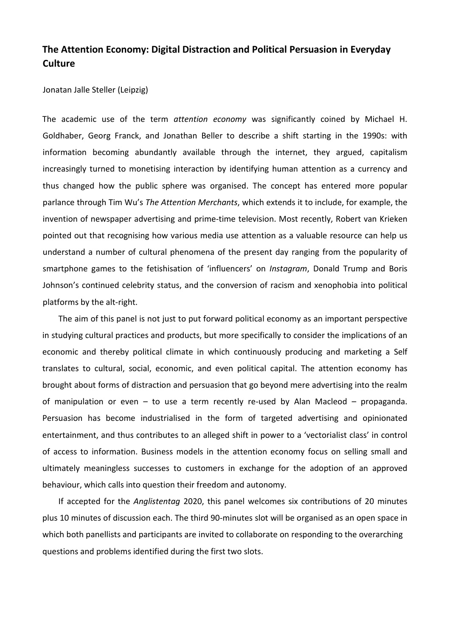## **The Attention Economy: Digital Distraction and Political Persuasion in Everyday Culture**

Jonatan Jalle Steller (Leipzig)

The academic use of the term *attention economy* was significantly coined by Michael H. Goldhaber, Georg Franck, and Jonathan Beller to describe a shift starting in the 1990s: with information becoming abundantly available through the internet, they argued, capitalism increasingly turned to monetising interaction by identifying human attention as a currency and thus changed how the public sphere was organised. The concept has entered more popular parlance through Tim Wu's *The Attention Merchants*, which extends it to include, for example, the invention of newspaper advertising and prime-time television. Most recently, Robert van Krieken pointed out that recognising how various media use attention as a valuable resource can help us understand a number of cultural phenomena of the present day ranging from the popularity of smartphone games to the fetishisation of 'influencers' on *Instagram*, Donald Trump and Boris Johnson's continued celebrity status, and the conversion of racism and xenophobia into political platforms by the alt-right.

The aim of this panel is not just to put forward political economy as an important perspective in studying cultural practices and products, but more specifically to consider the implications of an economic and thereby political climate in which continuously producing and marketing a Self translates to cultural, social, economic, and even political capital. The attention economy has brought about forms of distraction and persuasion that go beyond mere advertising into the realm of manipulation or even – to use a term recently re-used by Alan Macleod – propaganda. Persuasion has become industrialised in the form of targeted advertising and opinionated entertainment, and thus contributes to an alleged shift in power to a 'vectorialist class' in control of access to information. Business models in the attention economy focus on selling small and ultimately meaningless successes to customers in exchange for the adoption of an approved behaviour, which calls into question their freedom and autonomy.

If accepted for the *Anglistentag* 2020, this panel welcomes six contributions of 20 minutes plus 10 minutes of discussion each. The third 90-minutes slot will be organised as an open space in which both panellists and participants are invited to collaborate on responding to the overarching questions and problems identified during the first two slots.